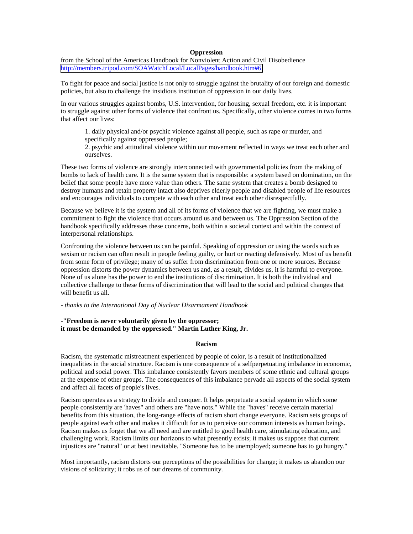## **Oppression**

from the School of the Americas Handbook for Nonviolent Action and Civil Disobedience <http://members.tripod.com/SOAWatchLocal/LocalPages/handbook.htm#6>

To fight for peace and social justice is not only to struggle against the brutality of our foreign and domestic policies, but also to challenge the insidious institution of oppression in our daily lives.

In our various struggles against bombs, U.S. intervention, for housing, sexual freedom, etc. it is important to struggle against other forms of violence that confront us. Specifically, other violence comes in two forms that affect our lives:

1. daily physical and/or psychic violence against all people, such as rape or murder, and specifically against oppressed people;

2. psychic and attitudinal violence within our movement reflected in ways we treat each other and ourselves.

These two forms of violence are strongly interconnected with governmental policies from the making of bombs to lack of health care. It is the same system that is responsible: a system based on domination, on the belief that some people have more value than others. The same system that creates a bomb designed to destroy humans and retain property intact also deprives elderly people and disabled people of life resources and encourages individuals to compete with each other and treat each other disrespectfully.

Because we believe it is the system and all of its forms of violence that we are fighting, we must make a commitment to fight the violence that occurs around us and between us. The Oppression Section of the handbook specifically addresses these concerns, both within a societal context and within the context of interpersonal relationships.

Confronting the violence between us can be painful. Speaking of oppression or using the words such as sexism or racism can often result in people feeling guilty, or hurt or reacting defensively. Most of us benefit from some form of privilege; many of us suffer from discrimination from one or more sources. Because oppression distorts the power dynamics between us and, as a result, divides us, it is harmful to everyone. None of us alone has the power to end the institutions of discrimination. It is both the individual and collective challenge to these forms of discrimination that will lead to the social and political changes that will benefit us all.

### *- thanks to the International Day of Nuclear Disarmament Handbook*

## **-"Freedom is never voluntarily given by the oppressor; it must be demanded by the oppressed." Martin Luther King, Jr.**

## **Racism**

Racism, the systematic mistreatment experienced by people of color, is a result of institutionalized inequalities in the social structure. Racism is one consequence of a selfperpetuating imbalance in economic, political and social power. This imbalance consistently favors members of some ethnic and cultural groups at the expense of other groups. The consequences of this imbalance pervade all aspects of the social system and affect all facets of people's lives.

Racism operates as a strategy to divide and conquer. It helps perpetuate a social system in which some people consistently are 'haves" and others are "have nots." While the "haves" receive certain material benefits from this situation, the long-range effects of racism short change everyone. Racism sets groups of people against each other and makes it difficult for us to perceive our common interests as human beings. Racism makes us forget that we all need and are entitled to good health care, stimulating education, and challenging work. Racism limits our horizons to what presently exists; it makes us suppose that current injustices are "natural" or at best inevitable. "Someone has to be unemployed; someone has to go hungry."

Most importantly, racism distorts our perceptions of the possibilities for change; it makes us abandon our visions of solidarity; it robs us of our dreams of community.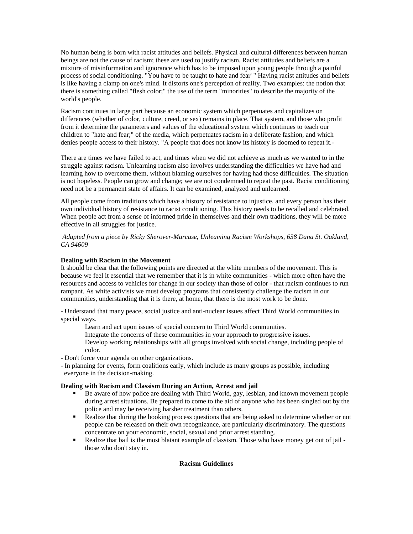No human being is born with racist attitudes and beliefs. Physical and cultural differences between human beings are not the cause of racism; these are used to justify racism. Racist attitudes and beliefs are a mixture of misinformation and ignorance which has to be imposed upon young people through a painful process of social conditioning. "You have to be taught to hate and fear' " Having racist attitudes and beliefs is like having a clamp on one's mind. It distorts one's perception of reality. Two examples: the notion that there is something called "flesh color;" the use of the term "minorities" to describe the majority of the world's people.

Racism continues in large part because an economic system which perpetuates and capitalizes on differences (whether of color, culture, creed, or sex) remains in place. That system, and those who profit from it determine the parameters and values of the educational system which continues to teach our children to "hate and fear;" of the media, which perpetuates racism in a deliberate fashion, and which denies people access to their history. "A people that does not know its history is doomed to repeat it.-

There are times we have failed to act, and times when we did not achieve as much as we wanted to in the struggle against racism. Unlearning racism also involves understanding the difficulties we have had and learning how to overcome them, without blaming ourselves for having had those difficulties. The situation is not hopeless. People can grow and change; we are not condemned to repeat the past. Racist conditioning need not be a permanent state of affairs. It can be examined, analyzed and unlearned.

All people come from traditions which have a history of resistance to injustice, and every person has their own individual history of resistance to racist conditioning. This history needs to be recalled and celebrated. When people act from a sense of informed pride in themselves and their own traditions, they will be more effective in all struggles for justice.

 *Adapted from a piece by Ricky Sherover-Marcuse, Unleaming Racism Workshops, 638 Dana St. Oakland, CA 94609* 

# **Dealing with Racism in the Movement**

It should be clear that the following points are directed at the white members of the movement. This is because we feel it essential that we remember that it is in white communities - which more often have the resources and access to vehicles for change in our society than those of color - that racism continues to run rampant. As white activists we must develop programs that consistently challenge the racism in our communities, understanding that it is there, at home, that there is the most work to be done.

- Understand that many peace, social justice and anti-nuclear issues affect Third World communities in special ways.

- Learn and act upon issues of special concern to Third World communities.
- Integrate the concerns of these communities in your approach to progressive issues.

Develop working relationships with all groups involved with social change, including people of color.

- Don't force your agenda on other organizations.

- In planning for events, form coalitions early, which include as many groups as possible, including everyone in the decision-making.

## **Dealing with Racism and Classism During an Action, Arrest and jail**

- Be aware of how police are dealing with Third World, gay, lesbian, and known movement people during arrest situations. Be prepared to come to the aid of anyone who has been singled out by the police and may be receiving harsher treatment than others.
- **Realize that during the booking process questions that are being asked to determine whether or not** people can be released on their own recognizance, are particularly discriminatory. The questions concentrate on your economic, social, sexual and prior arrest standing.
- Realize that bail is the most blatant example of classism. Those who have money get out of jail those who don't stay in.

# **Racism Guidelines**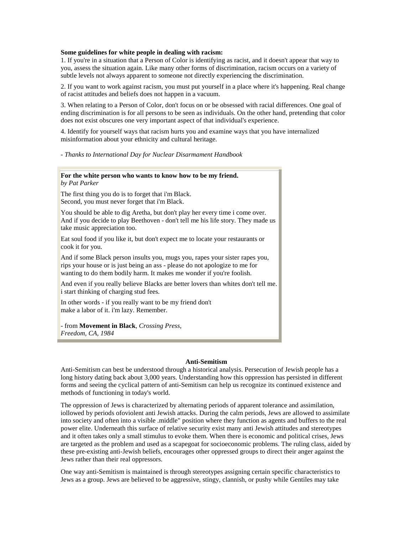## **Some guidelines for white people in dealing with racism:**

1. If you're in a situation that a Person of Color is identifying as racist, and it doesn't appear that way to you, assess the situation again. Like many other forms of discrimination, racism occurs on a variety of subtle levels not always apparent to someone not directly experiencing the discrimination.

2. If you want to work against racism, you must put yourself in a place where it's happening. Real change of racist attitudes and beliefs does not happen in a vacuum.

3. When relating to a Person of Color, don't focus on or be obsessed with racial differences. One goal of ending discrimination is for all persons to be seen as individuals. On the other hand, pretending that color does not exist obscures one very important aspect of that individual's experience.

4. Identify for yourself ways that racism hurts you and examine ways that you have internalized misinformation about your ethnicity and cultural heritage.

*- Thanks to International Day for Nuclear Disarmament Handbook* 

#### **For the white person who wants to know how to be my friend.** *by Pat Parker*

The first thing you do is to forget that i'm Black. Second, you must never forget that i'm Black.

You should be able to dig Aretha, but don't play her every time i come over. And if you decide to play Beethoven - don't tell me his life story. They made us take music appreciation too.

Eat soul food if you like it, but don't expect me to locate your restaurants or cook it for you.

And if some Black person insults you, mugs you, rapes your sister rapes you, rips your house or is just being an ass - please do not apologize to me for wanting to do them bodily harm. It makes me wonder if you're foolish.

And even if you really believe Blacks are better lovers than whites don't tell me. i start thinking of charging stud fees.

In other words - if you really want to be my friend don't make a labor of it. i'm lazy. Remember.

- from **Movement in Black**, *Crossing Press, Freedom, CA, 1984*

## **Anti-Semitism**

Anti-Semitism can best be understood through a historical analysis. Persecution of Jewish people has a long history dating back about 3,000 years. Understanding how this oppression has persisted in different forms and seeing the cyclical pattern of anti-Semitism can help us recognize its continued existence and methods of functioning in today's world.

The oppression of Jews is characterized by alternating periods of apparent tolerance and assimilation, iollowed by periods ofoviolent anti Jewish attacks. During the calm periods, Jews are allowed to assimilate into society and often into a visible .middle" position where they function as agents and buffers to the real power elite. Underneath this surface of relative security exist many anti Jewish attitudes and stereotypes and it often takes only a small stimulus to evoke them. When there is economic and political crises, Jews are targeted as the problem and used as a scapegoat for socioeconomic problems. The ruling class, aided by these pre-existing anti-Jewish beliefs, encourages other oppressed groups to direct their anger against the Jews rather than their real oppressors.

One way anti-Semitism is maintained is through stereotypes assigning certain specific characteristics to Jews as a group. Jews are believed to be aggressive, stingy, clannish, or pushy while Gentiles may take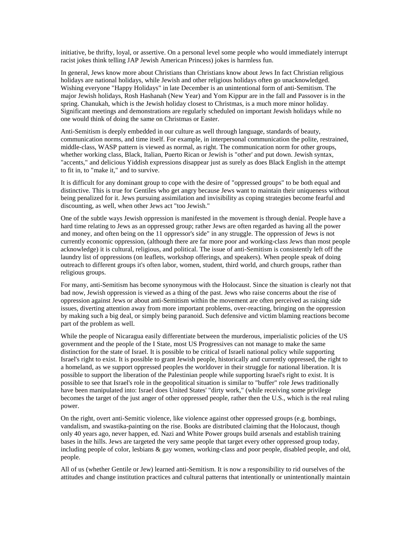initiative, be thrifty, loyal, or assertive. On a personal level some people who would immediately interrupt racist jokes think telling JAP Jewish American Princess) jokes is harmless fun.

In general, Jews know more about Christians than Christians know about Jews In fact Christian religious holidays are national holidays, while Jewish and other religious holidays often go unacknowledged. Wishing everyone "Happy Holidays" in late December is an unintentional form of anti-Semitism. The major Jewish holidays, Rosh Hashanah (New Year) and Yom Kippur are in the fall and Passover is in the spring. Chanukah, which is the Jewish holiday closest to Christmas, is a much more minor holiday. Significant meetings and demonstrations are regularly scheduled on important Jewish holidays while no one would think of doing the same on Christmas or Easter.

Anti-Semitism is deeply embedded in our culture as well through language, standards of beauty, communication norms, and time itself. For example, in interpersonal communication the polite, restrained, middle-class, WASP pattern is viewed as normal, as right. The communication norm for other groups, whether working class, Black, Italian, Puerto Rican or Jewish is "other' and put down. Jewish syntax, "accents," and delicious Yiddish expressions disappear just as surely as does Black English in the attempt to fit in, to "make it," and to survive.

It is difficult for any dominant group to cope with the desire of "oppressed groups" to be both equal and distinctive. This is true for Gentiles who get angry because Jews want to maintain their uniqueness without being penalized for it. Jews pursuing assimilation and invisibility as coping strategies become fearful and discounting, as well, when other Jews act "too Jewish."

One of the subtle ways Jewish oppression is manifested in the movement is through denial. People have a hard time relating to Jews as an oppressed group; rather Jews are often regarded as having all the power and money, and often being on the 11 oppressor's side" in any struggle. The oppression of Jews is not currently economic oppression, (although there are far more poor and working-class Jews than most people acknowledge) it is cultural, religious, and political. The issue of anti-Semitism is consistently left off the laundry list of oppressions (on leaflets, workshop offerings, and speakers). When people speak of doing outreach to different groups it's often labor, women, student, third world, and church groups, rather than religious groups.

For many, anti-Semitism has become synonymous with the Holocaust. Since the situation is clearly not that bad now, Jewish oppression is viewed as a thing of the past. Jews who raise concerns about the rise of oppression against Jews or about anti-Semitism within the movement are often perceived as raising side issues, diverting attention away from more important problems, over-reacting, bringing on the oppression by making such a big deal, or simply being paranoid. Such defensive and victim blaming reactions become part of the problem as well.

While the people of Nicaragua easily differentiate between the murderous, imperialistic policies of the US government and the people of the I State, most US Progressives can not manage to make the same distinction for the state of Israel. It is possible to be critical of Israeli national policy while supporting Israel's right to exist. It is possible to grant Jewish people, historically and currently oppressed, the right to a homeland, as we support oppressed peoples the worldover in their struggle for national liberation. It is possible to support the liberation of the Palestinian people while supporting Israel's right to exist. It is possible to see that Israel's role in the geopolitical situation is similar to "buffer" role Jews traditionally have been manipulated into: Israel does United States' "dirty work," (while receiving some privilege becomes the target of the just anger of other oppressed people, rather then the U.S., which is the real ruling power.

On the right, overt anti-Semitic violence, like violence against other oppressed groups (e.g. bombings, vandalism, and swastika-painting on the rise. Books are distributed claiming that the Holocaust, though only 40 years ago, never happen, ed. Nazi and White Power groups build arsenals and establish training bases in the hills. Jews are targeted the very same people that target every other oppressed group today, including people of color, lesbians & gay women, working-class and poor people, disabled people, and old, people.

All of us (whether Gentile or Jew) learned anti-Semitism. It is now a responsibility to rid ourselves of the attitudes and change institution practices and cultural patterns that intentionally or unintentionally maintain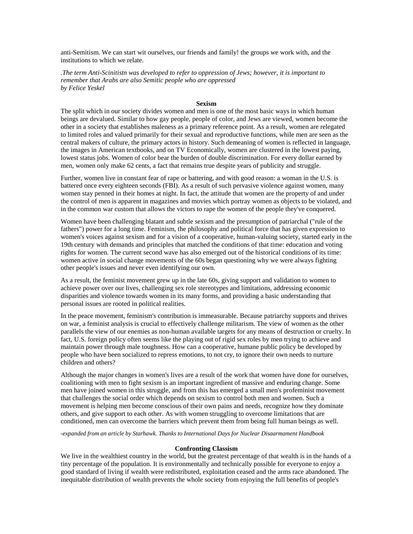anti-Semitism. We can start wit ourselves, our friends and family! the groups we work with, and the institutions to which we relate.

*.The term Anti-Scinitistn was developed to refer to oppression of Jews; however, it is important to remember that Arabs are also Semitic people who are oppressed by Felice Yeskel*

## **Sexism**

The split which in our society divides women and men is one of the most basic ways in which human beings are devalued. Similar to how gay people, people of color, and Jews are viewed, women become the other in a society that establishes maleness as a primary reference point. As a result, women are relegated to limited roles and valued primarily for their sexual and reproductive functions, while men are seen as the central makers of culture, the primary actors in history. Such demeaning of women is reflected in language, the images in American textbooks, and on TV Economically, women are clustered in the lowest paying, lowest status jobs. Women of color bear the burden of double discrimination. For every dollar earned by men, women only make 62 cents, a fact that remains true despite years of publicity and struggle.

Further, women live in constant fear of rape or battering, and with good reason: a woman in the U.S. is battered once every eighteen seconds (FBI). As a result of such pervasive violence against women, many women stay penned in their homes at night. In fact, the attitude that women are the property of and under the control of men is apparent in magazines and movies which portray women as objects to be violated, and in the common war custom that allows the victors to rape the women of the people they've conquered.

Women have been challenging blatant and subtle sexism and the presumption of patriarchal ("rule of the fathers") power for a long time. Feminism, the philosophy and political force that has given expression to women's voices against sexism and for a vision of a cooperative, human-valuing society, started early in the 19th century with demands and principles that matched the conditions of that time: education and voting rights for women. The current second wave has also emerged out of the historical conditions of its time: women active in social change movements of the 60s began questioning why we were always fighting other people's issues and never even identifying our own.

As a result, the feminist movement grew up in the late 60s, giving support and validation to women to achieve power over our lives, challenging sex role stereotypes and limitations, addressing economic disparities and violence towards women in its many forms, and providing a basic understanding that personal issues are rooted in political realities.

In the peace movement, feminism's contribution is immeasurable. Because patriarchy supports and thrives on war, a feminist analysis is crucial to effectively challenge militarism. The view of women as the other parallels the view of our enemies as non-human available targets for any means of destruction or cruelty. In fact, U.S. foreign policy often seems like the playing out of rigid sex roles by men trying to achieve and maintain power through male toughness. How can a cooperative, humane public policy be developed by people who have been socialized to repress emotions, to not cry, to ignore their own needs to nurture children and others?

Although the major changes in women's lives are a result of the work that women have done for ourselves, coalitioning with men to fight sexism is an important ingredient of massive and enduring change. Some men have joined women in this struggle, and from this has emerged a small men's profeminist movement that challenges the social order which depends on sexism to control both men and women. Such a movement is helping men become conscious of their own pains and needs, recognize how they dominate others, and give support to each other. As with women struggling to overcome limitations that are conditioned, men can overcome the barriers which prevent them from being full human beings as well.

*-expanded from an article by Starhawk. Thanks to International Days for Nuclear Disaarmament Handbook*

### **Confronting Classism**

We live in the wealthiest country in the world, but the greatest percentage of that wealth is in the hands of a tiny percentage of the population. It is environmentally and technically possible for everyone to enjoy a good standard of living if wealth were redistributed, exploitation ceased and the arms race abandoned. The inequitable distribution of wealth prevents the whole society from enjoying the full benefits of people's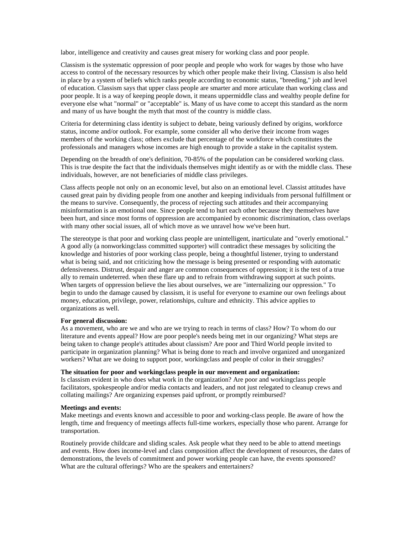labor, intelligence and creativity and causes great misery for working class and poor people.

Classism is the systematic oppression of poor people and people who work for wages by those who have access to control of the necessary resources by which other people make their living. Classism is also held in place by a system of beliefs which ranks people according to economic status, "breeding," job and level of education. Classism says that upper class people are smarter and more articulate than working class and poor people. It is a way of keeping people down, it means uppermiddle class and wealthy people define for everyone else what "normal" or "acceptable" is. Many of us have come to accept this standard as the norm and many of us have bought the myth that most of the country is middle class.

Criteria for determining class identity is subject to debate, being variously defined by origins, workforce status, income and/or outlook. For example, some consider all who derive their income from wages members of the working class; others exclude that percentage of the workforce which constitutes the professionals and managers whose incomes are high enough to provide a stake in the capitalist system.

Depending on the breadth of one's definition, 70-85% of the population can be considered working class. This is true despite the fact that the individuals themselves might identify as or with the middle class. These individuals, however, are not beneficiaries of middle class privileges.

Class affects people not only on an economic level, but also on an emotional level. Classist attitudes have caused great pain by dividing people from one another and keeping individuals from personal fulfillment or the means to survive. Consequently, the process of rejecting such attitudes and their accompanying misinformation is an emotional one. Since people tend to hurt each other because they themselves have been hurt, and since most forms of oppression are accompanied by economic discrimination, class overlaps with many other social issues, all of which move as we unravel how we've been hurt.

The stereotype is that poor and working class people are unintelligent, inarticulate and "overly emotional." A good ally (a nonworkingclass committed supporter) will contradict these messages by soliciting the knowledge and histories of poor working class people, being a thoughtful listener, trying to understand what is being said, and not criticizing how the message is being presented or responding with automatic defensiveness. Distrust, despair and anger are common consequences of oppression; it is the test of a true ally to remain undeterred. when these flare up and to refrain from withdrawing support at such points. When targets of oppression believe the lies about ourselves, we are "internalizing our oppression." To begin to undo the damage caused by classism, it is useful for everyone to examine our own feelings about money, education, privilege, power, relationships, culture and ethnicity. This advice applies to organizations as well.

## **For general discussion:**

As a movement, who are we and who are we trying to reach in terms of class? How? To whom do our literature and events appeal? How are poor people's needs being met in our organizing? What steps are being taken to change people's attitudes about classism? Are poor and Third World people invited to participate in organization planning? What is being done to reach and involve organized and unorganized workers? What are we doing to support poor, workingclass and people of color in their struggles?

# **The situation for poor and workingclass people in our movement and organization:**

Is classism evident in who does what work in the organization? Are poor and workingclass people facilitators, spokespeople and/or media contacts and leaders, and not just relegated to cleanup crews and collating mailings? Are organizing expenses paid upfront, or promptly reimbursed?

## **Meetings and events:**

Make meetings and events known and accessible to poor and working-class people. Be aware of how the length, time and frequency of meetings affects full-time workers, especially those who parent. Arrange for transportation.

Routinely provide childcare and sliding scales. Ask people what they need to be able to attend meetings and events. How does income-level and class composition affect the development of resources, the dates of demonstrations, the levels of commitment and power working people can have, the events sponsored? What are the cultural offerings? Who are the speakers and entertainers?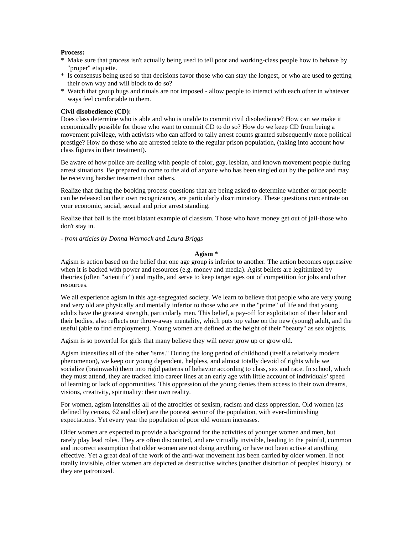# **Process:**

- \* Make sure that process isn't actually being used to tell poor and working-class people how to behave by "proper" etiquette.
- \* Is consensus being used so that decisions favor those who can stay the longest, or who are used to getting their own way and will block to do so?
- \* Watch that group hugs and rituals are not imposed allow people to interact with each other in whatever ways feel comfortable to them.

### **Civil disobedience (CD):**

Does class determine who is able and who is unable to commit civil disobedience? How can we make it economically possible for those who want to commit CD to do so? How do we keep CD from being a movement privilege, with activists who can afford to tally arrest counts granted subsequently more political prestige? How do those who are arrested relate to the regular prison population, (taking into account how class figures in their treatment).

Be aware of how police are dealing with people of color, gay, lesbian, and known movement people during arrest situations. Be prepared to come to the aid of anyone who has been singled out by the police and may be receiving harsher treatment than others.

Realize that during the booking process questions that are being asked to determine whether or not people can be released on their own recognizance, are particularly discriminatory. These questions concentrate on your economic, social, sexual and prior arrest standing.

Realize that bail is the most blatant example of classism. Those who have money get out of jail-those who don't stay in.

*- from articles by Donna Warnock and Laura Briggs*

#### **Agism \***

Agism is action based on the belief that one age group is inferior to another. The action becomes oppressive when it is backed with power and resources (e.g. money and media). Agist beliefs are legitimized by theories (often "scientific") and myths, and serve to keep target ages out of competition for jobs and other resources.

We all experience agism in this age-segregated society. We learn to believe that people who are very young and very old are physically and mentally inferior to those who are in the "prime" of life and that young adults have the greatest strength, particularly men. This belief, a pay-off for exploitation of their labor and their bodies, also reflects our throw-away mentality, which puts top value on the new (young) adult, and the useful (able to find employment). Young women are defined at the height of their "beauty" as sex objects.

Agism is so powerful for girls that many believe they will never grow up or grow old.

Agism intensifies all of the other 'isms." During the long period of childhood (itself a relatively modern phenomenon), we keep our young dependent, helpless, and almost totally devoid of rights while we socialize (brainwash) them into rigid patterns of behavior according to class, sex and race. In school, which they must attend, they are tracked into career lines at an early age with little account of individuals' speed of learning or lack of opportunities. This oppression of the young denies them access to their own dreams, visions, creativity, spirituality: their own reality.

For women, agism intensifies all of the atrocities of sexism, racism and class oppression. Old women (as defined by census, 62 and older) are the poorest sector of the population, with ever-diminishing expectations. Yet every year the population of poor old women increases.

Older women are expected to provide a background for the activities of younger women and men, but rarely play lead roles. They are often discounted, and are virtually invisible, leading to the painful, common and incorrect assumption that older women are not doing anything, or have not been active at anything effective. Yet a great deal of the work of the anti-war movement has been carried by older women. If not totally invisible, older women are depicted as destructive witches (another distortion of peoples' history), or they are patronized.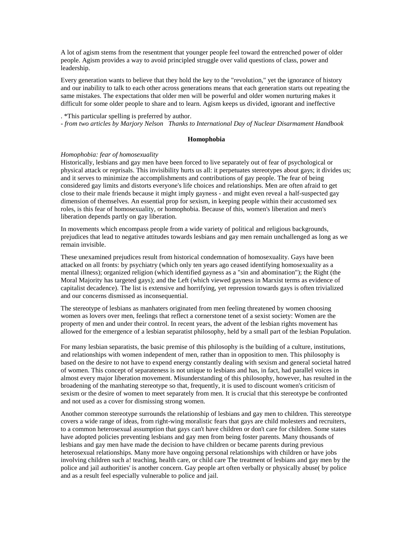A lot of agism stems from the resentment that younger people feel toward the entrenched power of older people. Agism provides a way to avoid principled struggle over valid questions of class, power and leadership.

Every generation wants to believe that they hold the key to the "revolution," yet the ignorance of history and our inability to talk to each other across generations means that each generation starts out repeating the same mistakes. The expectations that older men will be powerful and older women nurturing makes it difficult for some older people to share and to learn. Agism keeps us divided, ignorant and ineffective

# . \*This particular spelling is preferred by author.

*- from two articles by Marjory Nelson Thanks to International Day of Nuclear Disarmament Handbook*

#### **Homophobia**

#### *Homophobia: fear of homosexuality*

Historically, lesbians and gay men have been forced to live separately out of fear of psychological or physical attack or reprisals. This invisibility hurts us all: it perpetuates stereotypes about gays; it divides us; and it serves to minimize the accomplishments and contributions of gay people. The fear of being considered gay limits and distorts everyone's life choices and relationships. Men are often afraid to get close to their male friends because it might imply gayness - and might even reveal a half-suspected gay dimension of themselves. An essential prop for sexism, in keeping people within their accustomed sex roles, is this fear of homosexuality, or homophobia. Because of this, women's liberation and men's liberation depends partly on gay liberation.

In movements which encompass people from a wide variety of political and religious backgrounds, prejudices that lead to negative attitudes towards lesbians and gay men remain unchallenged as long as we remain invisible.

These unexamined prejudices result from historical condemnation of homosexuality. Gays have been attacked on all fronts: by psychiatry (which only ten years ago ceased identifying homosexuality as a mental illness); organized religion (which identified gayness as a "sin and abomination"); the Right (the Moral Majority has targeted gays); and the Left (which viewed gayness in Marxist terms as evidence of capitalist decadence). The list is extensive and horrifying, yet repression towards gays is often trivialized and our concerns dismissed as inconsequential.

The stereotype of lesbians as manhaters originated from men feeling threatened by women choosing women as lovers over men, feelings that reflect a cornerstone tenet of a sexist society: Women are the property of men and under their control. In recent years, the advent of the lesbian rights movement has allowed for the emergence of a lesbian separatist philosophy, held by a small part of the lesbian Population.

For many lesbian separatists, the basic premise of this philosophy is the building of a culture, institutions, and relationships with women independent of men, rather than in opposition to men. This philosophy is based on the desire to not have to expend energy constantly dealing with sexism and general societal hatred of women. This concept of separateness is not unique to lesbians and has, in fact, had parallel voices in almost every major liberation movement. Misunderstanding of this philosophy, however, has resulted in the broadening of the manhating stereotype so that, frequently, it is used to discount women's criticism of sexism or the desire of women to meet separately from men. It is crucial that this stereotype be confronted and not used as a cover for dismissing strong women.

Another common stereotype surrounds the relationship of lesbians and gay men to children. This stereotype covers a wide range of ideas, from right-wing moralistic fears that gays are child molesters and recruiters, to a common heterosexual assumption that gays can't have children or don't care for children. Some states have adopted policies preventing lesbians and gay men from being foster parents. Many thousands of lesbians and gay men have made the decision to have children or became parents during previous heterosexual relationships. Many more have ongoing personal relationships with children or have jobs involving children such a! teaching, health care, or child care The treatment of lesbians and gay men by the police and jail authorities' is another concern. Gay people art often verbally or physically abuse( by police and as a result feel especially vulnerable to police and jail.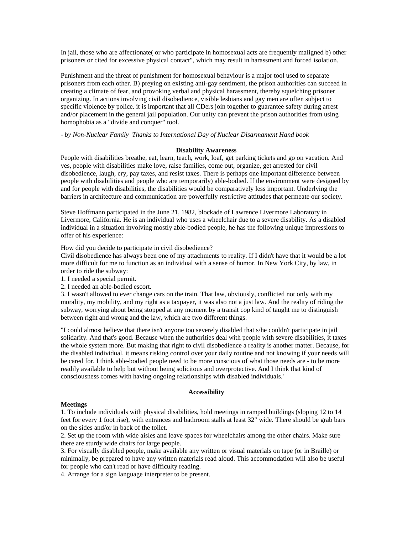In jail, those who are affectionate( or who participate in homosexual acts are frequently maligned b) other prisoners or cited for excessive physical contact", which may result in harassment and forced isolation.

Punishment and the threat of punishment for homosexual behaviour is a major tool used to separate prisoners from each other. B) preying on existing anti-gay sentiment, the prison authorities can succeed in creating a climate of fear, and provoking verbal and physical harassment, thereby squelching prisoner organizing. In actions involving civil disobedience, visible lesbians and gay men are often subject to specific violence by police. it is important that all CDers join together to guarantee safety during arrest and/or placement in the general jail population. Our unity can prevent the prison authorities from using homophobia as a "divide and conquer" tool.

*- by Non-Nuclear Family Thanks to International Day of Nuclear Disarmament Hand book* 

## **Disability Awareness**

People with disabilities breathe, eat, learn, teach, work, loaf, get parking tickets and go on vacation. And yes, people with disabilities make love, raise families, come out, organize, get arrested for civil disobedience, laugh, cry, pay taxes, and resist taxes. There is perhaps one important difference between people with disabilities and people who are temporarily) able-bodied. If the environment were designed by and for people with disabilities, the disabilities would be comparatively less important. Underlying the barriers in architecture and communication are powerfully restrictive attitudes that permeate our society.

Steve Hoffmann participated in the June 21, 1982, blockade of Lawrence Livermore Laboratory in Livermore, California. He is an individual who uses a wheelchair due to a severe disability. As a disabled individual in a situation involving mostly able-bodied people, he has the following unique impressions to offer of his experience:

How did you decide to participate in civil disobedience?

Civil disobedience has always been one of my attachments to reality. If I didn't have that it would be a lot more difficult for me to function as an individual with a sense of humor. In New York City, by law, in order to ride the subway:

- 1. I needed a special permit.
- 2. I needed an able-bodied escort.

3. I wasn't allowed to ever change cars on the train. That law, obviously, conflicted not only with my morality, my mobility, and my right as a taxpayer, it was also not a just law. And the reality of riding the subway, worrying about being stopped at any moment by a transit cop kind of taught me to distinguish between right and wrong and the law, which are two different things.

"I could almost believe that there isn't anyone too severely disabled that s/he couldn't participate in jail solidarity. And that's good. Because when the authorities deal with people with severe disabilities, it taxes the whole system more. But making that right to civil disobedience a reality is another matter. Because, for the disabled individual, it means risking control over your daily routine and not knowing if your needs will be cared for. I think able-bodied people need to be more conscious of what those needs are - to be more readily available to help but without being solicitous and overprotective. And I think that kind of consciousness comes with having ongoing relationships with disabled individuals.'

#### **Accessibility**

#### **Meetings**

1. To include individuals with physical disabilities, hold meetings in ramped buildings (sloping 12 to 14 feet for every 1 foot rise), with entrances and bathroom stalls at least 32" wide. There should be grab bars on the sides and/or in back of the toilet.

2. Set up the room with wide aisles and leave spaces for wheelchairs among the other chairs. Make sure there are sturdy wide chairs for large people.

3. For visually disabled people, make available any written or visual materials on tape (or in Braille) or minimally, be prepared to have any written materials read aloud. This accommodation will also be useful for people who can't read or have difficulty reading.

4. Arrange for a sign language interpreter to be present.